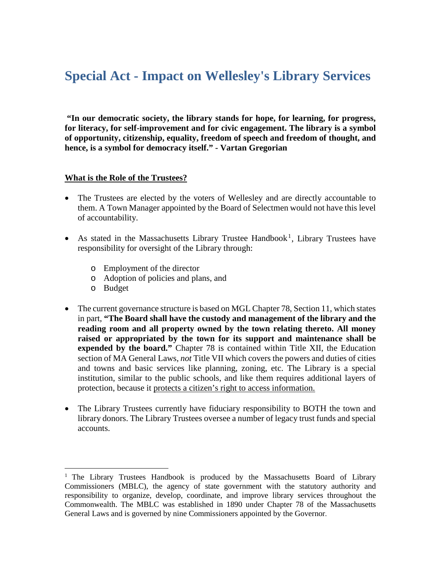# **Special Act - Impact on Wellesley's Library Services**

**"In our democratic society, the library stands for hope, for learning, for progress, for literacy, for self-improvement and for civic engagement. The library is a symbol of opportunity, citizenship, equality, freedom of speech and freedom of thought, and hence, is a symbol for democracy itself." - Vartan Gregorian**

#### **What is the Role of the Trustees?**

- The Trustees are elected by the voters of Wellesley and are directly accountable to them. A Town Manager appointed by the Board of Selectmen would not have this level of accountability.
- As stated in the Massachusetts Library Trustee Handbook<sup>[1](#page-0-0)</sup>, Library Trustees have responsibility for oversight of the Library through:
	- o Employment of the director
	- o Adoption of policies and plans, and
	- o Budget
- The current governance structure is based on MGL Chapter 78, Section 11, which states in part, **"The Board shall have the custody and management of the library and the reading room and all property owned by the town relating thereto. All money raised or appropriated by the town for its support and maintenance shall be expended by the board."** Chapter 78 is contained within Title XII, the Education section of MA General Laws, *not* Title VII which covers the powers and duties of cities and towns and basic services like planning, zoning, etc. The Library is a special institution, similar to the public schools, and like them requires additional layers of protection, because it protects a citizen's right to access information.
- The Library Trustees currently have fiduciary responsibility to BOTH the town and library donors. The Library Trustees oversee a number of legacy trust funds and special accounts.

<span id="page-0-0"></span><sup>&</sup>lt;sup>1</sup> The Library Trustees Handbook is produced by the Massachusetts Board of Library Commissioners (MBLC), the agency of state government with the statutory authority and responsibility to organize, develop, coordinate, and improve library services throughout the Commonwealth. The MBLC was established in 1890 under Chapter 78 of the Massachusetts General Laws and is governed by nine Commissioners appointed by the Governor.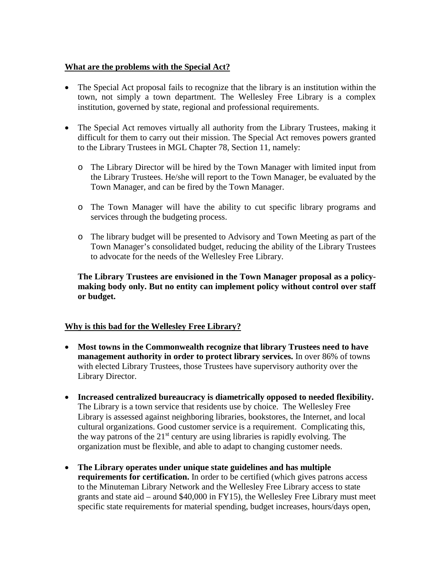#### **What are the problems with the Special Act?**

- The Special Act proposal fails to recognize that the library is an institution within the town, not simply a town department. The Wellesley Free Library is a complex institution, governed by state, regional and professional requirements.
- The Special Act removes virtually all authority from the Library Trustees, making it difficult for them to carry out their mission. The Special Act removes powers granted to the Library Trustees in MGL Chapter 78, Section 11, namely:
	- o The Library Director will be hired by the Town Manager with limited input from the Library Trustees. He/she will report to the Town Manager, be evaluated by the Town Manager, and can be fired by the Town Manager.
	- o The Town Manager will have the ability to cut specific library programs and services through the budgeting process.
	- o The library budget will be presented to Advisory and Town Meeting as part of the Town Manager's consolidated budget, reducing the ability of the Library Trustees to advocate for the needs of the Wellesley Free Library.

**The Library Trustees are envisioned in the Town Manager proposal as a policymaking body only. But no entity can implement policy without control over staff or budget.** 

## **Why is this bad for the Wellesley Free Library?**

- **Most towns in the Commonwealth recognize that library Trustees need to have management authority in order to protect library services.** In over 86% of towns with elected Library Trustees, those Trustees have supervisory authority over the Library Director.
- **Increased centralized bureaucracy is diametrically opposed to needed flexibility.**  The Library is a town service that residents use by choice. The Wellesley Free Library is assessed against neighboring libraries, bookstores, the Internet, and local cultural organizations. Good customer service is a requirement. Complicating this, the way patrons of the  $21<sup>st</sup>$  century are using libraries is rapidly evolving. The organization must be flexible, and able to adapt to changing customer needs.
- **The Library operates under unique state guidelines and has multiple requirements for certification.** In order to be certified (which gives patrons access to the Minuteman Library Network and the Wellesley Free Library access to state grants and state aid – around \$40,000 in FY15), the Wellesley Free Library must meet specific state requirements for material spending, budget increases, hours/days open,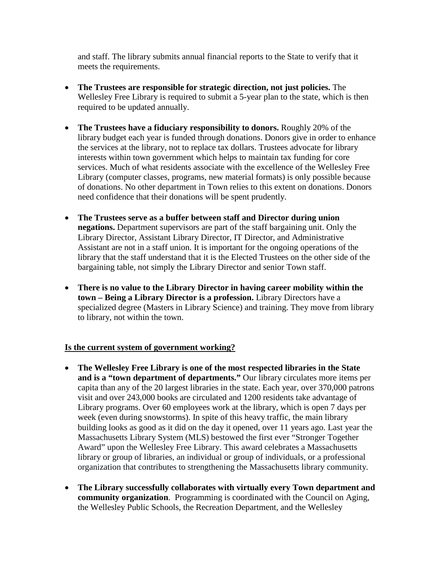and staff. The library submits annual financial reports to the State to verify that it meets the requirements.

- **The Trustees are responsible for strategic direction, not just policies.** The Wellesley Free Library is required to submit a 5-year plan to the state, which is then required to be updated annually.
- **The Trustees have a fiduciary responsibility to donors.** Roughly 20% of the library budget each year is funded through donations. Donors give in order to enhance the services at the library, not to replace tax dollars. Trustees advocate for library interests within town government which helps to maintain tax funding for core services. Much of what residents associate with the excellence of the Wellesley Free Library (computer classes, programs, new material formats) is only possible because of donations. No other department in Town relies to this extent on donations. Donors need confidence that their donations will be spent prudently.
- **The Trustees serve as a buffer between staff and Director during union negations.** Department supervisors are part of the staff bargaining unit. Only the Library Director, Assistant Library Director, IT Director, and Administrative Assistant are not in a staff union. It is important for the ongoing operations of the library that the staff understand that it is the Elected Trustees on the other side of the bargaining table, not simply the Library Director and senior Town staff.
- **There is no value to the Library Director in having career mobility within the town – Being a Library Director is a profession.** Library Directors have a specialized degree (Masters in Library Science) and training. They move from library to library, not within the town.

## **Is the current system of government working?**

- **The Wellesley Free Library is one of the most respected libraries in the State and is a "town department of departments."** Our library circulates more items per capita than any of the 20 largest libraries in the state. Each year, over 370,000 patrons visit and over 243,000 books are circulated and 1200 residents take advantage of Library programs. Over 60 employees work at the library, which is open 7 days per week (even during snowstorms). In spite of this heavy traffic, the main library building looks as good as it did on the day it opened, over 11 years ago. Last year the Massachusetts Library System (MLS) bestowed the first ever "Stronger Together Award" upon the Wellesley Free Library. This award celebrates a Massachusetts library or group of libraries, an individual or group of individuals, or a professional organization that contributes to strengthening the Massachusetts library community.
- **The Library successfully collaborates with virtually every Town department and community organization**. Programming is coordinated with the Council on Aging, the Wellesley Public Schools, the Recreation Department, and the Wellesley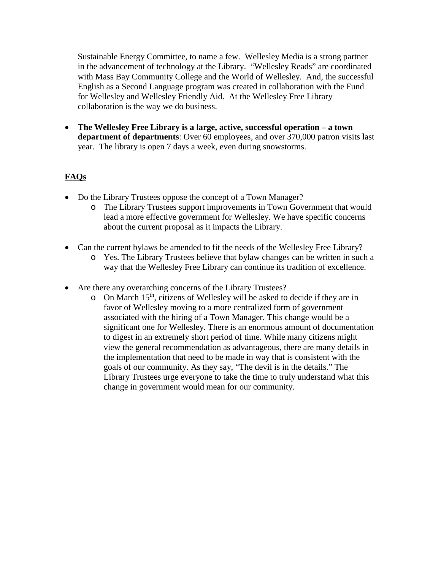Sustainable Energy Committee, to name a few. Wellesley Media is a strong partner in the advancement of technology at the Library. "Wellesley Reads" are coordinated with Mass Bay Community College and the World of Wellesley. And, the successful English as a Second Language program was created in collaboration with the Fund for Wellesley and Wellesley Friendly Aid. At the Wellesley Free Library collaboration is the way we do business.

• **The Wellesley Free Library is a large, active, successful operation – a town department of departments**: Over 60 employees, and over 370,000 patron visits last year. The library is open 7 days a week, even during snowstorms.

# **FAQs**

- Do the Library Trustees oppose the concept of a Town Manager?
	- o The Library Trustees support improvements in Town Government that would lead a more effective government for Wellesley. We have specific concerns about the current proposal as it impacts the Library.
- Can the current bylaws be amended to fit the needs of the Wellesley Free Library?
	- o Yes. The Library Trustees believe that bylaw changes can be written in such a way that the Wellesley Free Library can continue its tradition of excellence.
- Are there any overarching concerns of the Library Trustees?
	- $\circ$  On March 15<sup>th</sup>, citizens of Wellesley will be asked to decide if they are in favor of Wellesley moving to a more centralized form of government associated with the hiring of a Town Manager. This change would be a significant one for Wellesley. There is an enormous amount of documentation to digest in an extremely short period of time. While many citizens might view the general recommendation as advantageous, there are many details in the implementation that need to be made in way that is consistent with the goals of our community. As they say, "The devil is in the details." The Library Trustees urge everyone to take the time to truly understand what this change in government would mean for our community.